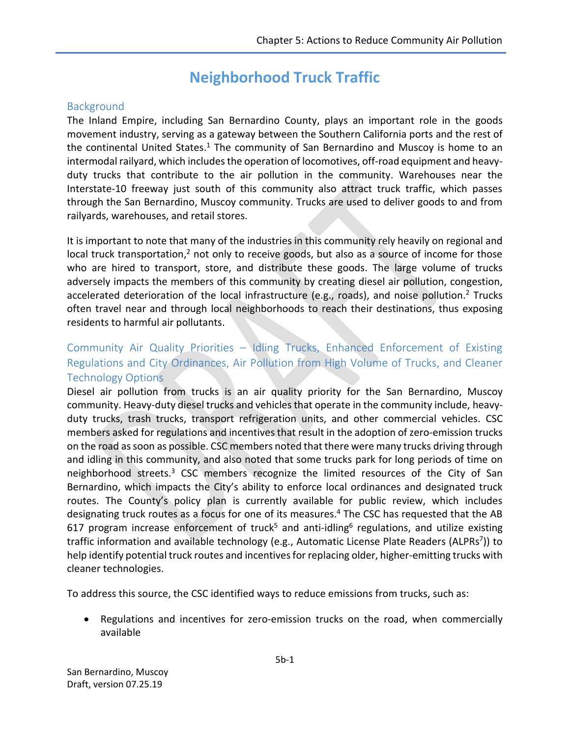# **Neighborhood Truck Traffic**

### **Background**

The Inland Empire, including San Bernardino County, plays an important role in the goods movement industry, serving as a gateway between the Southern California ports and the rest of the continental United States.<sup>1</sup> The community of San Bernardino and Muscoy is home to an intermodal railyard, which includes the operation of locomotives, off-road equipment and heavyduty trucks that contribute to the air pollution in the community. Warehouses near the Interstate-10 freeway just south of this community also attract truck traffic, which passes through the San Bernardino, Muscoy community. Trucks are used to deliver goods to and from railyards, warehouses, and retail stores.

It is important to note that many of the industries in this community rely heavily on regional and local truck transportation,<sup>2</sup> not only to receive goods, but also as a source of income for those who are hired to transport, store, and distribute these goods. The large volume of trucks adversely impacts the members of this community by creating diesel air pollution, congestion, accelerated deterioration of the local infrastructure (e.g., roads), and noise pollution.<sup>2</sup> Trucks often travel near and through local neighborhoods to reach their destinations, thus exposing residents to harmful air pollutants.

# Community Air Quality Priorities – Idling Trucks, Enhanced Enforcement of Existing Regulations and City Ordinances, Air Pollution from High Volume of Trucks, and Cleaner Technology Options

Diesel air pollution from trucks is an air quality priority for the San Bernardino, Muscoy community. Heavy-duty diesel trucks and vehicles that operate in the community include, heavyduty trucks, trash trucks, transport refrigeration units, and other commercial vehicles. CSC members asked for regulations and incentives that result in the adoption of zero-emission trucks on the road as soon as possible. CSC members noted that there were many trucks driving through and idling in this community, and also noted that some trucks park for long periods of time on neighborhood streets.<sup>3</sup> CSC members recognize the limited resources of the City of San Bernardino, which impacts the City's ability to enforce local ordinances and designated truck routes. The County's policy plan is currently available for public review, which includes designating truck routes as a focus for one of its measures.<sup>4</sup> The CSC has requested that the AB 617 program increase enforcement of truck<sup>5</sup> and anti-idling<sup>6</sup> regulations, and utilize existing traffic information and available technology (e.g., Automatic License Plate Readers (ALPRs<sup>7</sup>)) to help identify potential truck routes and incentives for replacing older, higher-emitting trucks with cleaner technologies.

To address this source, the CSC identified ways to reduce emissions from trucks, such as:

 Regulations and incentives for zero-emission trucks on the road, when commercially available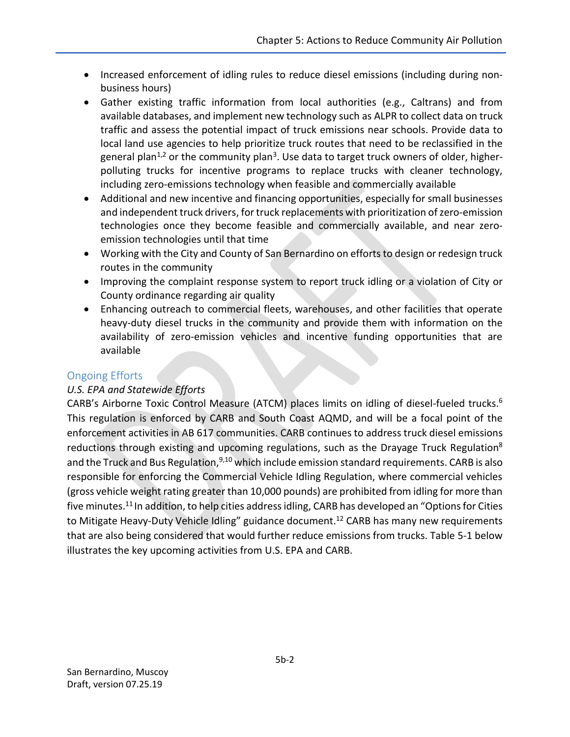- Increased enforcement of idling rules to reduce diesel emissions (including during nonbusiness hours)
- Gather existing traffic information from local authorities (e.g., Caltrans) and from available databases, and implement new technology such as ALPR to collect data on truck traffic and assess the potential impact of truck emissions near schools. Provide data to local land use agencies to help prioritize truck routes that need to be reclassified in the general plan<sup>1,2</sup> or the community plan<sup>3</sup>. Use data to target truck owners of older, higherpolluting trucks for incentive programs to replace trucks with cleaner technology, including zero-emissions technology when feasible and commercially available
- Additional and new incentive and financing opportunities, especially for small businesses and independent truck drivers, for truck replacements with prioritization of zero-emission technologies once they become feasible and commercially available, and near zeroemission technologies until that time
- Working with the City and County of San Bernardino on efforts to design or redesign truck routes in the community
- Improving the complaint response system to report truck idling or a violation of City or County ordinance regarding air quality
- Enhancing outreach to commercial fleets, warehouses, and other facilities that operate heavy-duty diesel trucks in the community and provide them with information on the availability of zero-emission vehicles and incentive funding opportunities that are available

# Ongoing Efforts

# *U.S. EPA and Statewide Efforts*

CARB's Airborne Toxic Control Measure (ATCM) places limits on idling of diesel-fueled trucks. 6 This regulation is enforced by CARB and South Coast AQMD, and will be a focal point of the enforcement activities in AB 617 communities. CARB continues to address truck diesel emissions reductions through existing and upcoming regulations, such as the Drayage Truck Regulation<sup>8</sup> and the Truck and Bus Regulation, $9,10$  which include emission standard requirements. CARB is also responsible for enforcing the Commercial Vehicle Idling Regulation, where commercial vehicles (gross vehicle weight rating greater than 10,000 pounds) are prohibited from idling for more than five minutes.<sup>11</sup> In addition, to help cities address idling, CARB has developed an "Options for Cities to Mitigate Heavy-Duty Vehicle Idling" guidance document.<sup>12</sup> CARB has many new requirements that are also being considered that would further reduce emissions from trucks. Table 5-1 below illustrates the key upcoming activities from U.S. EPA and CARB.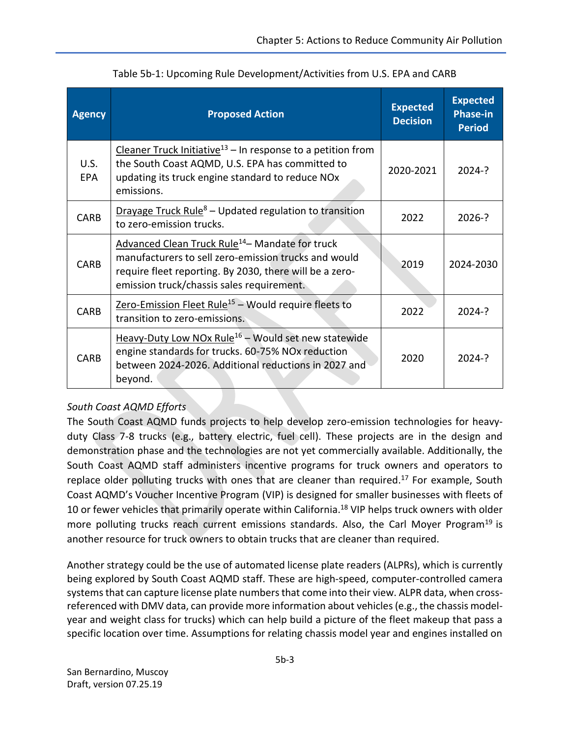| <b>Agency</b>      | <b>Proposed Action</b>                                                                                                                                                                                                      | <b>Expected</b><br><b>Decision</b> | <b>Expected</b><br><b>Phase-in</b><br><b>Period</b> |
|--------------------|-----------------------------------------------------------------------------------------------------------------------------------------------------------------------------------------------------------------------------|------------------------------------|-----------------------------------------------------|
| U.S.<br><b>EPA</b> | Cleaner Truck Initiative <sup>13</sup> – In response to a petition from<br>the South Coast AQMD, U.S. EPA has committed to<br>updating its truck engine standard to reduce NOx<br>emissions.                                | 2020-2021                          | $2024 - ?$                                          |
| <b>CARB</b>        | Drayage Truck Rule <sup>8</sup> – Updated regulation to transition<br>to zero-emission trucks.                                                                                                                              | 2022                               | $2026-?$                                            |
| <b>CARB</b>        | Advanced Clean Truck Rule <sup>14</sup> - Mandate for truck<br>manufacturers to sell zero-emission trucks and would<br>require fleet reporting. By 2030, there will be a zero-<br>emission truck/chassis sales requirement. | 2019                               | 2024-2030                                           |
| <b>CARB</b>        | Zero-Emission Fleet Rule <sup>15</sup> - Would require fleets to<br>2022<br>transition to zero-emissions.                                                                                                                   |                                    | $2024 - ?$                                          |
| <b>CARB</b>        | Heavy-Duty Low NOx Rule <sup>16</sup> – Would set new statewide<br>engine standards for trucks. 60-75% NOx reduction<br>between 2024-2026. Additional reductions in 2027 and<br>beyond.                                     | 2020                               | $2024 - ?$                                          |

# *South Coast AQMD Efforts*

The South Coast AQMD funds projects to help develop zero-emission technologies for heavyduty Class 7-8 trucks (e.g., battery electric, fuel cell). These projects are in the design and demonstration phase and the technologies are not yet commercially available. Additionally, the South Coast AQMD staff administers incentive programs for truck owners and operators to replace older polluting trucks with ones that are cleaner than required.<sup>17</sup> For example, South Coast AQMD's Voucher Incentive Program (VIP) is designed for smaller businesses with fleets of 10 or fewer vehicles that primarily operate within California. <sup>18</sup> VIP helps truck owners with older more polluting trucks reach current emissions standards. Also, the Carl Moyer Program<sup>19</sup> is another resource for truck owners to obtain trucks that are cleaner than required.

Another strategy could be the use of automated license plate readers (ALPRs), which is currently being explored by South Coast AQMD staff. These are high-speed, computer-controlled camera systems that can capture license plate numbers that come into their view. ALPR data, when crossreferenced with DMV data, can provide more information about vehicles(e.g., the chassis modelyear and weight class for trucks) which can help build a picture of the fleet makeup that pass a specific location over time. Assumptions for relating chassis model year and engines installed on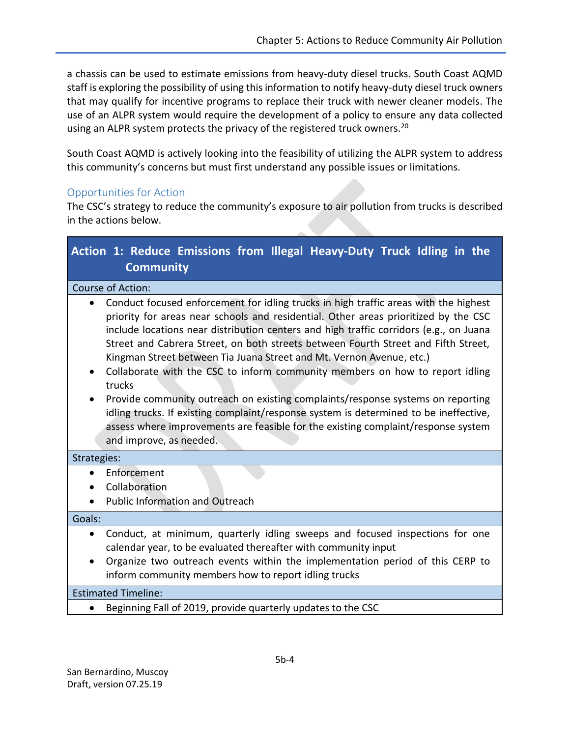a chassis can be used to estimate emissions from heavy-duty diesel trucks. South Coast AQMD staff is exploring the possibility of using this information to notify heavy-duty diesel truck owners that may qualify for incentive programs to replace their truck with newer cleaner models. The use of an ALPR system would require the development of a policy to ensure any data collected using an ALPR system protects the privacy of the registered truck owners.<sup>20</sup>

South Coast AQMD is actively looking into the feasibility of utilizing the ALPR system to address this community's concerns but must first understand any possible issues or limitations.

### Opportunities for Action

The CSC's strategy to reduce the community's exposure to air pollution from trucks is described in the actions below.

| Action 1: Reduce Emissions from Illegal Heavy-Duty Truck Idling in the<br><b>Community</b>                                                                                                                                                                                                                                                                                                                                                                                                                                                                                                                                                                                                                                                                                                                                             |  |  |  |  |
|----------------------------------------------------------------------------------------------------------------------------------------------------------------------------------------------------------------------------------------------------------------------------------------------------------------------------------------------------------------------------------------------------------------------------------------------------------------------------------------------------------------------------------------------------------------------------------------------------------------------------------------------------------------------------------------------------------------------------------------------------------------------------------------------------------------------------------------|--|--|--|--|
| Course of Action:                                                                                                                                                                                                                                                                                                                                                                                                                                                                                                                                                                                                                                                                                                                                                                                                                      |  |  |  |  |
| Conduct focused enforcement for idling trucks in high traffic areas with the highest<br>$\bullet$<br>priority for areas near schools and residential. Other areas prioritized by the CSC<br>include locations near distribution centers and high traffic corridors (e.g., on Juana<br>Street and Cabrera Street, on both streets between Fourth Street and Fifth Street,<br>Kingman Street between Tia Juana Street and Mt. Vernon Avenue, etc.)<br>Collaborate with the CSC to inform community members on how to report idling<br>trucks<br>Provide community outreach on existing complaints/response systems on reporting<br>idling trucks. If existing complaint/response system is determined to be ineffective,<br>assess where improvements are feasible for the existing complaint/response system<br>and improve, as needed. |  |  |  |  |
| Strategies:                                                                                                                                                                                                                                                                                                                                                                                                                                                                                                                                                                                                                                                                                                                                                                                                                            |  |  |  |  |
| Enforcement<br>$\bullet$                                                                                                                                                                                                                                                                                                                                                                                                                                                                                                                                                                                                                                                                                                                                                                                                               |  |  |  |  |
| Collaboration<br>$\bullet$                                                                                                                                                                                                                                                                                                                                                                                                                                                                                                                                                                                                                                                                                                                                                                                                             |  |  |  |  |
| <b>Public Information and Outreach</b><br>$\bullet$                                                                                                                                                                                                                                                                                                                                                                                                                                                                                                                                                                                                                                                                                                                                                                                    |  |  |  |  |
| Goals:                                                                                                                                                                                                                                                                                                                                                                                                                                                                                                                                                                                                                                                                                                                                                                                                                                 |  |  |  |  |
| Conduct, at minimum, quarterly idling sweeps and focused inspections for one<br>$\bullet$<br>calendar year, to be evaluated thereafter with community input<br>Organize two outreach events within the implementation period of this CERP to<br>$\bullet$<br>inform community members how to report idling trucks                                                                                                                                                                                                                                                                                                                                                                                                                                                                                                                      |  |  |  |  |

#### Estimated Timeline:

Beginning Fall of 2019, provide quarterly updates to the CSC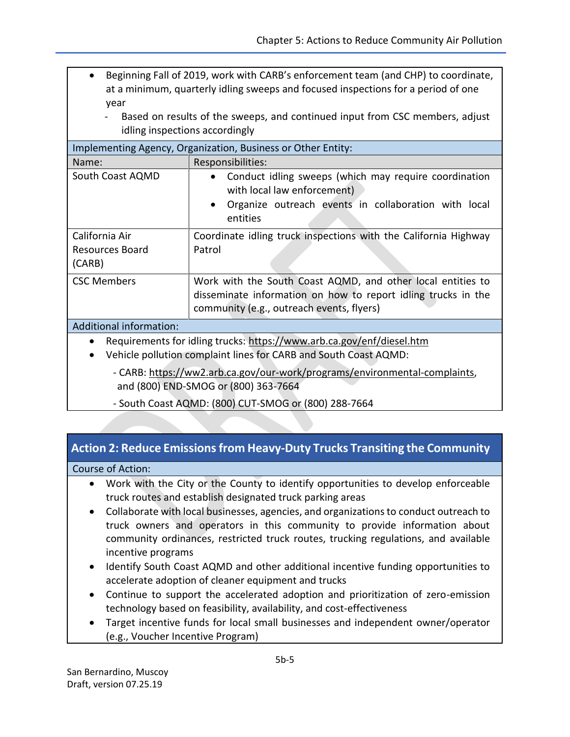- Beginning Fall of 2019, work with CARB's enforcement team (and CHP) to coordinate, at a minimum, quarterly idling sweeps and focused inspections for a period of one year
	- Based on results of the sweeps, and continued input from CSC members, adjust idling inspections accordingly

| Implementing Agency, Organization, Business or Other Entity:                                                                                                        |                                                                                                                                                                           |  |  |  |
|---------------------------------------------------------------------------------------------------------------------------------------------------------------------|---------------------------------------------------------------------------------------------------------------------------------------------------------------------------|--|--|--|
| Name:                                                                                                                                                               | Responsibilities:                                                                                                                                                         |  |  |  |
| South Coast AQMD                                                                                                                                                    | Conduct idling sweeps (which may require coordination<br>with local law enforcement)<br>Organize outreach events in collaboration with local<br>entities                  |  |  |  |
| California Air<br>Resources Board<br>(CARB)                                                                                                                         | Coordinate idling truck inspections with the California Highway<br>Patrol                                                                                                 |  |  |  |
| <b>CSC Members</b>                                                                                                                                                  | Work with the South Coast AQMD, and other local entities to<br>disseminate information on how to report idling trucks in the<br>community (e.g., outreach events, flyers) |  |  |  |
| Additional information:                                                                                                                                             |                                                                                                                                                                           |  |  |  |
| Requirements for idling trucks: https://www.arb.ca.gov/enf/diesel.htm<br>$\bullet$<br>Vehicle pollution complaint lines for CARB and South Coast AQMD:<br>$\bullet$ |                                                                                                                                                                           |  |  |  |
| - CARB: https://ww2.arb.ca.gov/our-work/programs/environmental-complaints,<br>and (800) END-SMOG or (800) 363-7664                                                  |                                                                                                                                                                           |  |  |  |

- South Coast AQMD: (800) CUT-SMOG or (800) 288-7664

# **Action 2: Reduce Emissions from Heavy-Duty Trucks Transiting the Community**

#### Course of Action:

- Work with the City or the County to identify opportunities to develop enforceable truck routes and establish designated truck parking areas
- Collaborate with local businesses, agencies, and organizations to conduct outreach to truck owners and operators in this community to provide information about community ordinances, restricted truck routes, trucking regulations, and available incentive programs
- Identify South Coast AQMD and other additional incentive funding opportunities to accelerate adoption of cleaner equipment and trucks
- Continue to support the accelerated adoption and prioritization of zero-emission technology based on feasibility, availability, and cost-effectiveness
- Target incentive funds for local small businesses and independent owner/operator (e.g., Voucher Incentive Program)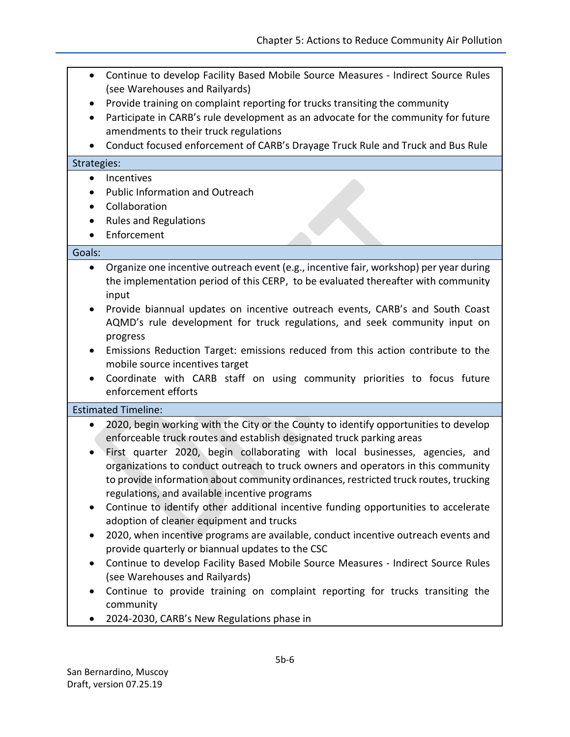- Continue to develop Facility Based Mobile Source Measures Indirect Source Rules (see Warehouses and Railyards)
- Provide training on complaint reporting for trucks transiting the community
- Participate in CARB's rule development as an advocate for the community for future amendments to their truck regulations
- Conduct focused enforcement of CARB's Drayage Truck Rule and Truck and Bus Rule

#### Strategies:

- Incentives
- Public Information and Outreach
- Collaboration
- Rules and Regulations
- Enforcement

#### Goals:

- Organize one incentive outreach event (e.g., incentive fair, workshop) per year during the implementation period of this CERP, to be evaluated thereafter with community input
- Provide biannual updates on incentive outreach events, CARB's and South Coast AQMD's rule development for truck regulations, and seek community input on progress
- Emissions Reduction Target: emissions reduced from this action contribute to the mobile source incentives target
- Coordinate with CARB staff on using community priorities to focus future enforcement efforts

Estimated Timeline:

- 2020, begin working with the City or the County to identify opportunities to develop enforceable truck routes and establish designated truck parking areas
- First quarter 2020, begin collaborating with local businesses, agencies, and organizations to conduct outreach to truck owners and operators in this community to provide information about community ordinances, restricted truck routes, trucking regulations, and available incentive programs
- Continue to identify other additional incentive funding opportunities to accelerate adoption of cleaner equipment and trucks
- 2020, when incentive programs are available, conduct incentive outreach events and provide quarterly or biannual updates to the CSC
- Continue to develop Facility Based Mobile Source Measures Indirect Source Rules (see Warehouses and Railyards)
- Continue to provide training on complaint reporting for trucks transiting the community
- 2024-2030, CARB's New Regulations phase in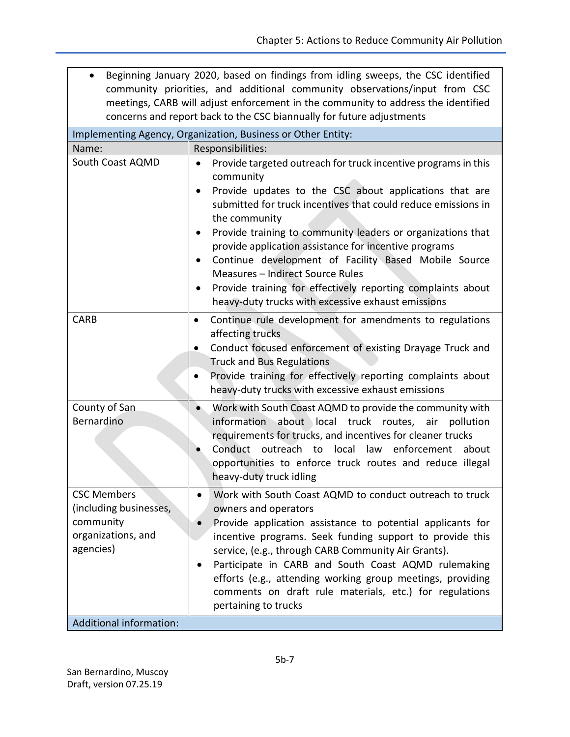| • Beginning January 2020, based on findings from idling sweeps, the CSC identified |
|------------------------------------------------------------------------------------|
| community priorities, and additional community observations/input from CSC         |
| meetings, CARB will adjust enforcement in the community to address the identified  |
| concerns and report back to the CSC biannually for future adjustments              |

| Implementing Agency, Organization, Business or Other Entity:                                 |                                                                                                                                                                                                                                                                                                                                                                                                                                                                                                                                                                                                                      |  |  |  |
|----------------------------------------------------------------------------------------------|----------------------------------------------------------------------------------------------------------------------------------------------------------------------------------------------------------------------------------------------------------------------------------------------------------------------------------------------------------------------------------------------------------------------------------------------------------------------------------------------------------------------------------------------------------------------------------------------------------------------|--|--|--|
| Name:                                                                                        | Responsibilities:                                                                                                                                                                                                                                                                                                                                                                                                                                                                                                                                                                                                    |  |  |  |
| South Coast AQMD                                                                             | Provide targeted outreach for truck incentive programs in this<br>$\bullet$<br>community<br>Provide updates to the CSC about applications that are<br>submitted for truck incentives that could reduce emissions in<br>the community<br>Provide training to community leaders or organizations that<br>$\bullet$<br>provide application assistance for incentive programs<br>Continue development of Facility Based Mobile Source<br>$\bullet$<br>Measures - Indirect Source Rules<br>Provide training for effectively reporting complaints about<br>$\bullet$<br>heavy-duty trucks with excessive exhaust emissions |  |  |  |
| <b>CARB</b>                                                                                  | Continue rule development for amendments to regulations<br>$\bullet$<br>affecting trucks<br>Conduct focused enforcement of existing Drayage Truck and<br>$\bullet$<br><b>Truck and Bus Regulations</b><br>Provide training for effectively reporting complaints about<br>$\bullet$<br>heavy-duty trucks with excessive exhaust emissions                                                                                                                                                                                                                                                                             |  |  |  |
| County of San<br>Bernardino                                                                  | Work with South Coast AQMD to provide the community with<br>information about local truck routes,<br>pollution<br>air<br>requirements for trucks, and incentives for cleaner trucks<br>Conduct outreach to<br>local<br>law enforcement<br>about<br>opportunities to enforce truck routes and reduce illegal<br>heavy-duty truck idling                                                                                                                                                                                                                                                                               |  |  |  |
| <b>CSC Members</b><br>(including businesses,<br>community<br>organizations, and<br>agencies) | Work with South Coast AQMD to conduct outreach to truck<br>$\bullet$<br>owners and operators<br>Provide application assistance to potential applicants for<br>$\bullet$<br>incentive programs. Seek funding support to provide this<br>service, (e.g., through CARB Community Air Grants).<br>Participate in CARB and South Coast AQMD rulemaking<br>efforts (e.g., attending working group meetings, providing<br>comments on draft rule materials, etc.) for regulations<br>pertaining to trucks                                                                                                                   |  |  |  |
| <b>Additional information:</b>                                                               |                                                                                                                                                                                                                                                                                                                                                                                                                                                                                                                                                                                                                      |  |  |  |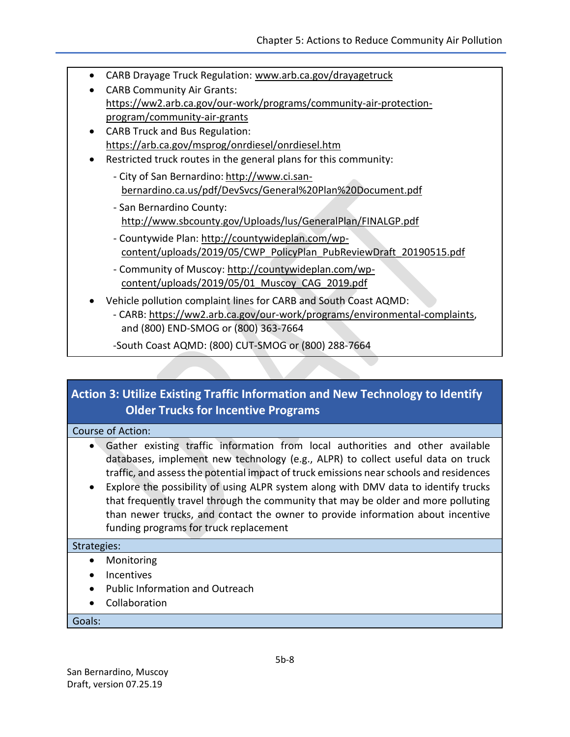- CARB Drayage Truck Regulation: [www.arb.ca.gov/drayagetruck](http://www.arb.ca.gov/drayagetruck)
- CARB Community Air Grants: [https://ww2.arb.ca.gov/our-work/programs/community-air-protection](https://ww2.arb.ca.gov/our-work/programs/community-air-protection-program/community-air-grants)[program/community-air-grants](https://ww2.arb.ca.gov/our-work/programs/community-air-protection-program/community-air-grants)
- CARB Truck and Bus Regulation: <https://arb.ca.gov/msprog/onrdiesel/onrdiesel.htm>
- Restricted truck routes in the general plans for this community:
	- City of San Bernardino: [http://www.ci.san](http://www.ci.san-bernardino.ca.us/pdf/DevSvcs/General%20Plan%20Document.pdf)[bernardino.ca.us/pdf/DevSvcs/General%20Plan%20Document.pdf](http://www.ci.san-bernardino.ca.us/pdf/DevSvcs/General%20Plan%20Document.pdf)
	- San Bernardino County: <http://www.sbcounty.gov/Uploads/lus/GeneralPlan/FINALGP.pdf>
	- Countywide Plan: [http://countywideplan.com/wp](http://countywideplan.com/wp-content/uploads/2019/05/CWP_PolicyPlan_PubReviewDraft_20190515.pdf)[content/uploads/2019/05/CWP\\_PolicyPlan\\_PubReviewDraft\\_20190515.pdf](http://countywideplan.com/wp-content/uploads/2019/05/CWP_PolicyPlan_PubReviewDraft_20190515.pdf)
	- Community of Muscoy: [http://countywideplan.com/wp](http://countywideplan.com/wp-content/uploads/2019/05/01_Muscoy_CAG_2019.pdf)[content/uploads/2019/05/01\\_Muscoy\\_CAG\\_2019.pdf](http://countywideplan.com/wp-content/uploads/2019/05/01_Muscoy_CAG_2019.pdf)
- Vehicle pollution complaint lines for CARB and South Coast AQMD:
	- CARB: [https://ww2.arb.ca.gov/our-work/programs/environmental-complaints,](https://ww2.arb.ca.gov/our-work/programs/environmental-complaints) and (800) END-SMOG or (800) 363-7664
	- -South Coast AQMD: (800) CUT-SMOG or (800) 288-7664

# **Action 3: Utilize Existing Traffic Information and New Technology to Identify Older Trucks for Incentive Programs**

#### Course of Action:

- Gather existing traffic information from local authorities and other available databases, implement new technology (e.g., ALPR) to collect useful data on truck traffic, and assess the potential impact of truck emissions near schools and residences
- Explore the possibility of using ALPR system along with DMV data to identify trucks that frequently travel through the community that may be older and more polluting than newer trucks, and contact the owner to provide information about incentive funding programs for truck replacement

#### Strategies:

- Monitoring
- Incentives
- Public Information and Outreach
- Collaboration

#### Goals: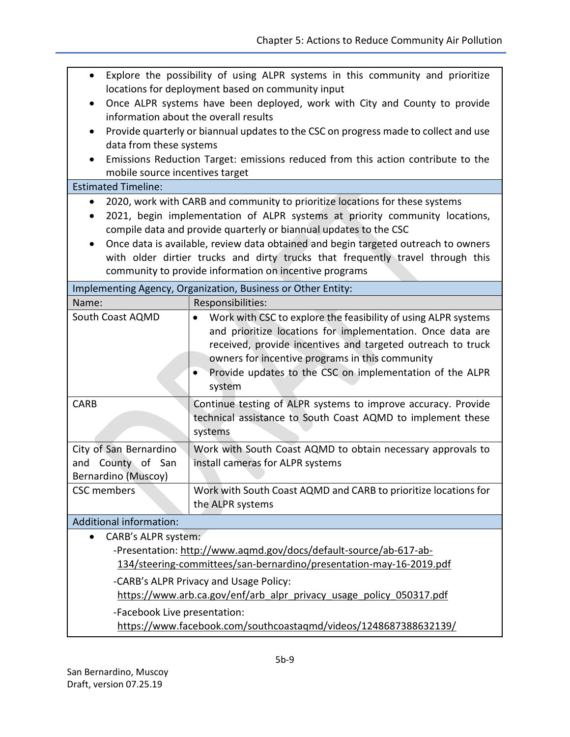| $\bullet$                                                           | Explore the possibility of using ALPR systems in this community and prioritize                                      |  |  |  |  |
|---------------------------------------------------------------------|---------------------------------------------------------------------------------------------------------------------|--|--|--|--|
|                                                                     | locations for deployment based on community input                                                                   |  |  |  |  |
| $\bullet$                                                           | Once ALPR systems have been deployed, work with City and County to provide<br>information about the overall results |  |  |  |  |
| $\bullet$                                                           | Provide quarterly or biannual updates to the CSC on progress made to collect and use                                |  |  |  |  |
|                                                                     | data from these systems                                                                                             |  |  |  |  |
| ٠                                                                   | Emissions Reduction Target: emissions reduced from this action contribute to the                                    |  |  |  |  |
|                                                                     | mobile source incentives target                                                                                     |  |  |  |  |
| <b>Estimated Timeline:</b>                                          |                                                                                                                     |  |  |  |  |
|                                                                     | 2020, work with CARB and community to prioritize locations for these systems                                        |  |  |  |  |
| ٠                                                                   | 2021, begin implementation of ALPR systems at priority community locations,                                         |  |  |  |  |
|                                                                     | compile data and provide quarterly or biannual updates to the CSC                                                   |  |  |  |  |
| $\bullet$                                                           | Once data is available, review data obtained and begin targeted outreach to owners                                  |  |  |  |  |
|                                                                     | with older dirtier trucks and dirty trucks that frequently travel through this                                      |  |  |  |  |
|                                                                     | community to provide information on incentive programs                                                              |  |  |  |  |
|                                                                     | Implementing Agency, Organization, Business or Other Entity:                                                        |  |  |  |  |
| Name:                                                               | Responsibilities:                                                                                                   |  |  |  |  |
| South Coast AQMD                                                    | Work with CSC to explore the feasibility of using ALPR systems                                                      |  |  |  |  |
|                                                                     | and prioritize locations for implementation. Once data are                                                          |  |  |  |  |
|                                                                     | received, provide incentives and targeted outreach to truck                                                         |  |  |  |  |
|                                                                     | owners for incentive programs in this community                                                                     |  |  |  |  |
|                                                                     | Provide updates to the CSC on implementation of the ALPR                                                            |  |  |  |  |
|                                                                     | system                                                                                                              |  |  |  |  |
| <b>CARB</b>                                                         | Continue testing of ALPR systems to improve accuracy. Provide                                                       |  |  |  |  |
|                                                                     | technical assistance to South Coast AQMD to implement these                                                         |  |  |  |  |
|                                                                     | systems                                                                                                             |  |  |  |  |
| City of San Bernardino                                              | Work with South Coast AQMD to obtain necessary approvals to                                                         |  |  |  |  |
| and County of San                                                   | install cameras for ALPR systems                                                                                    |  |  |  |  |
| Bernardino (Muscoy)                                                 |                                                                                                                     |  |  |  |  |
| <b>CSC</b> members                                                  | Work with South Coast AQMD and CARB to prioritize locations for                                                     |  |  |  |  |
|                                                                     | the ALPR systems                                                                                                    |  |  |  |  |
| Additional information:                                             |                                                                                                                     |  |  |  |  |
| <b>CARB's ALPR system:</b>                                          |                                                                                                                     |  |  |  |  |
| -Presentation: http://www.aqmd.gov/docs/default-source/ab-617-ab-   |                                                                                                                     |  |  |  |  |
| 134/steering-committees/san-bernardino/presentation-may-16-2019.pdf |                                                                                                                     |  |  |  |  |
| -CARB's ALPR Privacy and Usage Policy:                              |                                                                                                                     |  |  |  |  |
| https://www.arb.ca.gov/enf/arb_alpr_privacy_usage_policy_050317.pdf |                                                                                                                     |  |  |  |  |
| -Facebook Live presentation:                                        |                                                                                                                     |  |  |  |  |
| https://www.facebook.com/southcoastaqmd/videos/1248687388632139/    |                                                                                                                     |  |  |  |  |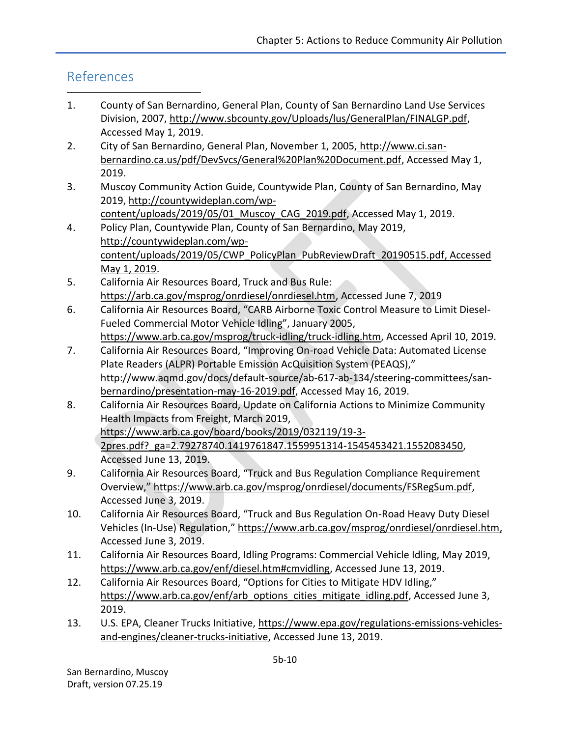# References

 $\overline{a}$ 

- 1. County of San Bernardino, General Plan, County of San Bernardino Land Use Services Division, 2007, http://www.sbcounty.gov/Uploads/lus/GeneralPlan/FINALGP.pdf, Accessed May 1, 2019.
- 2. City of San Bernardino, General Plan, November 1, 2005, [http://www.ci.san](http://www.ci.san-bernardino.ca.us/pdf/DevSvcs/General%20Plan%20Document.pdf)[bernardino.ca.us/pdf/DevSvcs/General%20Plan%20Document.pdf,](http://www.ci.san-bernardino.ca.us/pdf/DevSvcs/General%20Plan%20Document.pdf) Accessed May 1, 2019.
- 3. Muscoy Community Action Guide, Countywide Plan, County of San Bernardino, May 2019, [http://countywideplan.com/wp-](http://countywideplan.com/wp-content/uploads/2019/05/01_Muscoy_CAG_2019.pdf)
- content/uploads/2019/05/01 Muscoy CAG 2019.pdf, Accessed May 1, 2019. 4. Policy Plan, Countywide Plan, County of San Bernardino, May 2019, [http://countywideplan.com/wp](http://countywideplan.com/wp-content/uploads/2019/05/CWP_PolicyPlan_PubReviewDraft_20190515.pdf)[content/uploads/2019/05/CWP\\_PolicyPlan\\_PubReviewDraft\\_20190515.pdf,](http://countywideplan.com/wp-content/uploads/2019/05/CWP_PolicyPlan_PubReviewDraft_20190515.pdf) Accessed May 1, 2019.
- 5. California Air Resources Board, Truck and Bus Rule: [https://arb.ca.gov/msprog/onrdiesel/onrdiesel.htm,](https://arb.ca.gov/msprog/onrdiesel/onrdiesel.htm) Accessed June 7, 2019
- 6. California Air Resources Board, "CARB Airborne Toxic Control Measure to Limit Diesel-Fueled Commercial Motor Vehicle Idling", January 2005, [https://www.arb.ca.gov/msprog/truck-idling/truck-idling.htm,](https://www.arb.ca.gov/msprog/truck-idling/truck-idling.htm) Accessed April 10, 2019.
- 7. California Air Resources Board, "Improving On-road Vehicle Data: Automated License Plate Readers (ALPR) Portable Emission AcQuisition System (PEAQS)," [http://www.aqmd.gov/docs/default-source/ab-617-ab-134/steering-committees/san](http://www.aqmd.gov/docs/default-source/ab-617-ab-134/steering-committees/san-bernardino/presentation-may-16-2019.pdf)[bernardino/presentation-may-16-2019.pdf,](http://www.aqmd.gov/docs/default-source/ab-617-ab-134/steering-committees/san-bernardino/presentation-may-16-2019.pdf) Accessed May 16, 2019.
- 8. California Air Resources Board, Update on California Actions to Minimize Community Health Impacts from Freight, March 2019, [https://www.arb.ca.gov/board/books/2019/032119/19-3-](https://www.arb.ca.gov/board/books/2019/032119/19-3-2pres.pdf?_ga=2.79278740.1419761847.1559951314-1545453421.1552083450) [2pres.pdf?\\_ga=2.79278740.1419761847.1559951314-1545453421.1552083450,](https://www.arb.ca.gov/board/books/2019/032119/19-3-2pres.pdf?_ga=2.79278740.1419761847.1559951314-1545453421.1552083450) Accessed June 13, 2019.
- 9. California Air Resources Board, "Truck and Bus Regulation Compliance Requirement Overview," [https://www.arb.ca.gov/msprog/onrdiesel/documents/FSRegSum.pdf,](https://www.arb.ca.gov/msprog/onrdiesel/documents/FSRegSum.pdf) Accessed June 3, 2019.
- 10. California Air Resources Board, "Truck and Bus Regulation On-Road Heavy Duty Diesel Vehicles (In-Use) Regulation," [https://www.arb.ca.gov/msprog/onrdiesel/onrdiesel.htm,](https://www.arb.ca.gov/msprog/onrdiesel/onrdiesel.htm) Accessed June 3, 2019.
- 11. California Air Resources Board, Idling Programs: Commercial Vehicle Idling, May 2019, [https://www.arb.ca.gov/enf/diesel.htm#cmvidling,](https://www.arb.ca.gov/enf/diesel.htm#cmvidling) Accessed June 13, 2019.
- 12. California Air Resources Board, "Options for Cities to Mitigate HDV Idling," [https://www.arb.ca.gov/enf/arb\\_options\\_cities\\_mitigate\\_idling.pdf,](https://www.arb.ca.gov/enf/arb_options_cities_mitigate_idling.pdf) Accessed June 3, 2019.
- 13. U.S. EPA, Cleaner Trucks Initiative, [https://www.epa.gov/regulations-emissions-vehicles](https://www.epa.gov/regulations-emissions-vehicles-and-engines/cleaner-trucks-initiative)[and-engines/cleaner-trucks-initiative,](https://www.epa.gov/regulations-emissions-vehicles-and-engines/cleaner-trucks-initiative) Accessed June 13, 2019.